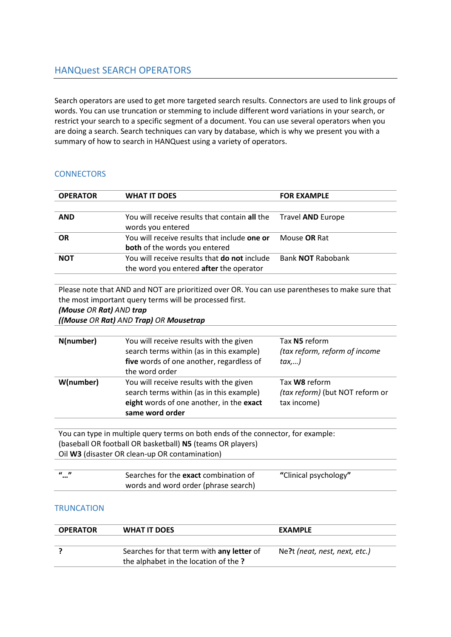# HANQuest SEARCH OPERATORS

Search operators are used to get more targeted search results. Connectors are used to link groups of words. You can use truncation or stemming to include different word variations in your search, or restrict your search to a specific segment of a document. You can use several operators when you are doing a search. Search techniques can vary by database, which is why we present you with a summary of how to search in HANQuest using a variety of operators.

## **CONNECTORS**

| <b>OPERATOR</b> | <b>WHAT IT DOES</b>                                                                            | <b>FOR EXAMPLE</b>       |
|-----------------|------------------------------------------------------------------------------------------------|--------------------------|
|                 |                                                                                                |                          |
| <b>AND</b>      | You will receive results that contain all the<br>words you entered                             | Travel <b>AND</b> Europe |
| <b>OR</b>       | You will receive results that include one or<br><b>both</b> of the words you entered           | Mouse <b>OR</b> Rat      |
| <b>NOT</b>      | You will receive results that <b>do not</b> include<br>the word you entered after the operator | Bank <b>NOT</b> Rabobank |

Please note that AND and NOT are prioritized over OR. You can use parentheses to make sure that the most important query terms will be processed first.

#### *(Mouse OR Rat) AND trap*

*((Mouse OR Rat) AND Trap) OR Mousetrap* 

| N(number) | You will receive results with the given<br>search terms within (as in this example)<br>five words of one another, regardless of<br>the word order  | Tax N5 reform<br>(tax reform, reform of income<br>tax,)                |
|-----------|----------------------------------------------------------------------------------------------------------------------------------------------------|------------------------------------------------------------------------|
| W(number) | You will receive results with the given<br>search terms within (as in this example)<br>eight words of one another, in the exact<br>same word order | Tax <b>W8</b> reform<br>(tax reform) (but NOT reform or<br>tax income) |
|           |                                                                                                                                                    |                                                                        |

You can type in multiple query terms on both ends of the connector, for example: (baseball OR football OR basketball) **N5** (teams OR players) Oil **W3** (disaster OR clean-up OR contamination)

| - <i>u</i> - 11<br> | Searches for the exact combination of | "Clinical psychology" |
|---------------------|---------------------------------------|-----------------------|
|                     | words and word order (phrase search)  |                       |

### **TRUNCATION**

| <b>OPERATOR</b> | WHAT IT DOES                              | <b>EXAMPLE</b>                |
|-----------------|-------------------------------------------|-------------------------------|
|                 |                                           |                               |
|                 | Searches for that term with any letter of | Ne?t (neat, nest, next, etc.) |
|                 | the alphabet in the location of the?      |                               |